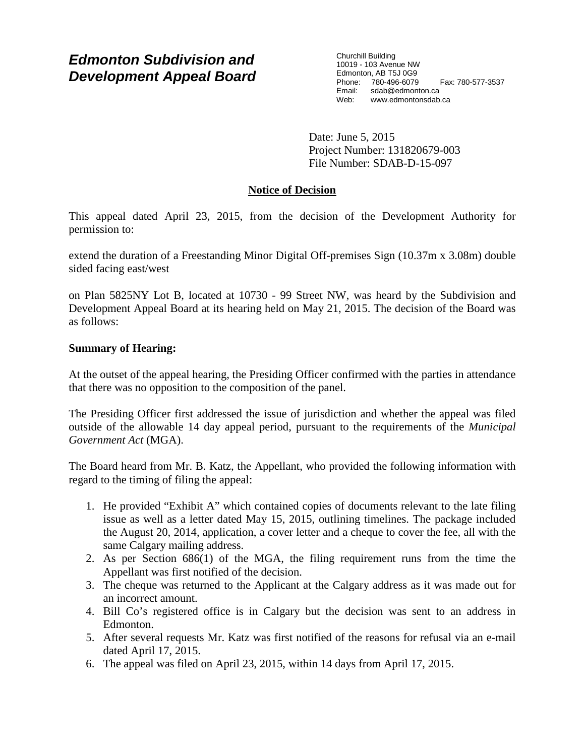# *Edmonton Subdivision and Development Appeal Board*

Churchill Building 10019 - 103 Avenue NW Edmonton, AB T5J 0G9 Phone: 780-496-6079 Fax: 780-577-3537 Email: sdab@edmonton.ca Web: www.edmontonsdab.ca

Date: June 5, 2015 Project Number: 131820679-003 File Number: SDAB-D-15-097

## **Notice of Decision**

This appeal dated April 23, 2015, from the decision of the Development Authority for permission to:

extend the duration of a Freestanding Minor Digital Off-premises Sign (10.37m x 3.08m) double sided facing east/west

on Plan 5825NY Lot B, located at 10730 - 99 Street NW, was heard by the Subdivision and Development Appeal Board at its hearing held on May 21, 2015. The decision of the Board was as follows:

## **Summary of Hearing:**

At the outset of the appeal hearing, the Presiding Officer confirmed with the parties in attendance that there was no opposition to the composition of the panel.

The Presiding Officer first addressed the issue of jurisdiction and whether the appeal was filed outside of the allowable 14 day appeal period, pursuant to the requirements of the *Municipal Government Act* (MGA).

The Board heard from Mr. B. Katz, the Appellant, who provided the following information with regard to the timing of filing the appeal:

- 1. He provided "Exhibit A" which contained copies of documents relevant to the late filing issue as well as a letter dated May 15, 2015, outlining timelines. The package included the August 20, 2014, application, a cover letter and a cheque to cover the fee, all with the same Calgary mailing address.
- 2. As per Section 686(1) of the MGA, the filing requirement runs from the time the Appellant was first notified of the decision.
- 3. The cheque was returned to the Applicant at the Calgary address as it was made out for an incorrect amount.
- 4. Bill Co's registered office is in Calgary but the decision was sent to an address in Edmonton.
- 5. After several requests Mr. Katz was first notified of the reasons for refusal via an e-mail dated April 17, 2015.
- 6. The appeal was filed on April 23, 2015, within 14 days from April 17, 2015.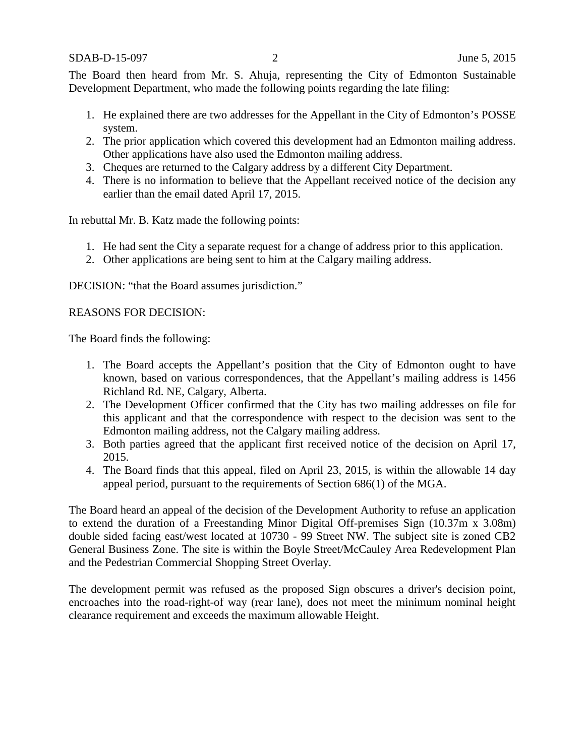The Board then heard from Mr. S. Ahuja, representing the City of Edmonton Sustainable Development Department, who made the following points regarding the late filing:

- 1. He explained there are two addresses for the Appellant in the City of Edmonton's POSSE system.
- 2. The prior application which covered this development had an Edmonton mailing address. Other applications have also used the Edmonton mailing address.
- 3. Cheques are returned to the Calgary address by a different City Department.
- 4. There is no information to believe that the Appellant received notice of the decision any earlier than the email dated April 17, 2015.

In rebuttal Mr. B. Katz made the following points:

- 1. He had sent the City a separate request for a change of address prior to this application.
- 2. Other applications are being sent to him at the Calgary mailing address.

DECISION: "that the Board assumes jurisdiction."

REASONS FOR DECISION:

The Board finds the following:

- 1. The Board accepts the Appellant's position that the City of Edmonton ought to have known, based on various correspondences, that the Appellant's mailing address is 1456 Richland Rd. NE, Calgary, Alberta.
- 2. The Development Officer confirmed that the City has two mailing addresses on file for this applicant and that the correspondence with respect to the decision was sent to the Edmonton mailing address, not the Calgary mailing address.
- 3. Both parties agreed that the applicant first received notice of the decision on April 17, 2015.
- 4. The Board finds that this appeal, filed on April 23, 2015, is within the allowable 14 day appeal period, pursuant to the requirements of Section 686(1) of the MGA.

The Board heard an appeal of the decision of the Development Authority to refuse an application to extend the duration of a Freestanding Minor Digital Off-premises Sign (10.37m x 3.08m) double sided facing east/west located at 10730 - 99 Street NW. The subject site is zoned CB2 General Business Zone. The site is within the Boyle Street/McCauley Area Redevelopment Plan and the Pedestrian Commercial Shopping Street Overlay.

The development permit was refused as the proposed Sign obscures a driver's decision point, encroaches into the road-right-of way (rear lane), does not meet the minimum nominal height clearance requirement and exceeds the maximum allowable Height.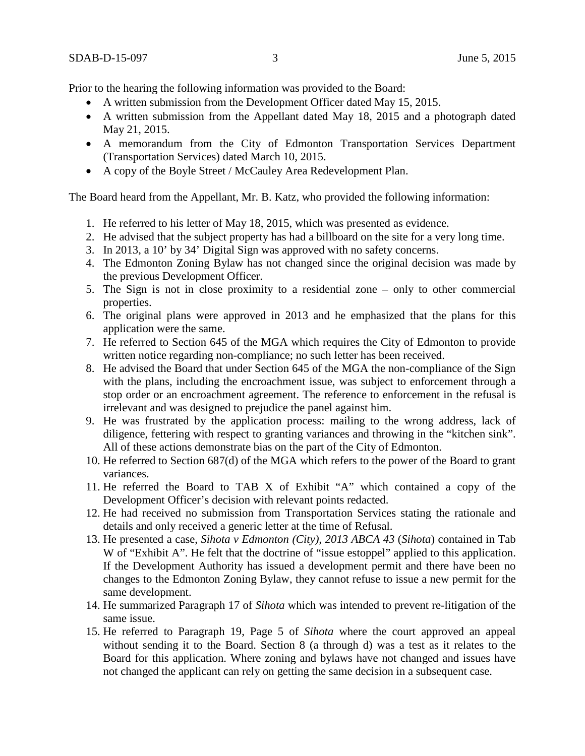Prior to the hearing the following information was provided to the Board:

- A written submission from the Development Officer dated May 15, 2015.
- A written submission from the Appellant dated May 18, 2015 and a photograph dated May 21, 2015.
- A memorandum from the City of Edmonton Transportation Services Department (Transportation Services) dated March 10, 2015.
- A copy of the Boyle Street / McCauley Area Redevelopment Plan.

The Board heard from the Appellant, Mr. B. Katz, who provided the following information:

- 1. He referred to his letter of May 18, 2015, which was presented as evidence.
- 2. He advised that the subject property has had a billboard on the site for a very long time.
- 3. In 2013, a 10' by 34' Digital Sign was approved with no safety concerns.
- 4. The Edmonton Zoning Bylaw has not changed since the original decision was made by the previous Development Officer.
- 5. The Sign is not in close proximity to a residential zone only to other commercial properties.
- 6. The original plans were approved in 2013 and he emphasized that the plans for this application were the same.
- 7. He referred to Section 645 of the MGA which requires the City of Edmonton to provide written notice regarding non-compliance; no such letter has been received.
- 8. He advised the Board that under Section 645 of the MGA the non-compliance of the Sign with the plans, including the encroachment issue, was subject to enforcement through a stop order or an encroachment agreement. The reference to enforcement in the refusal is irrelevant and was designed to prejudice the panel against him.
- 9. He was frustrated by the application process: mailing to the wrong address, lack of diligence, fettering with respect to granting variances and throwing in the "kitchen sink". All of these actions demonstrate bias on the part of the City of Edmonton.
- 10. He referred to Section 687(d) of the MGA which refers to the power of the Board to grant variances.
- 11. He referred the Board to TAB X of Exhibit "A" which contained a copy of the Development Officer's decision with relevant points redacted.
- 12. He had received no submission from Transportation Services stating the rationale and details and only received a generic letter at the time of Refusal.
- 13. He presented a case, *Sihota v Edmonton (City), 2013 ABCA 43* (*Sihota*) contained in Tab W of "Exhibit A". He felt that the doctrine of "issue estoppel" applied to this application. If the Development Authority has issued a development permit and there have been no changes to the Edmonton Zoning Bylaw, they cannot refuse to issue a new permit for the same development.
- 14. He summarized Paragraph 17 of *Sihota* which was intended to prevent re-litigation of the same issue.
- 15. He referred to Paragraph 19, Page 5 of *Sihota* where the court approved an appeal without sending it to the Board. Section 8 (a through d) was a test as it relates to the Board for this application. Where zoning and bylaws have not changed and issues have not changed the applicant can rely on getting the same decision in a subsequent case.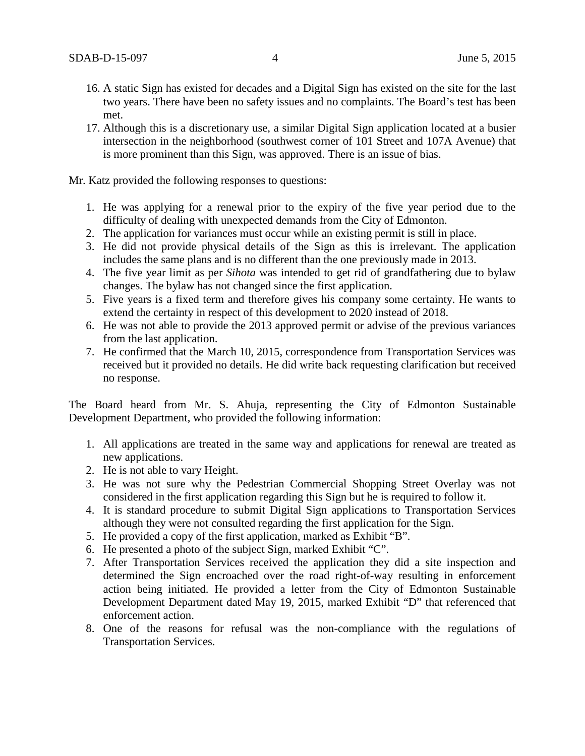- 16. A static Sign has existed for decades and a Digital Sign has existed on the site for the last two years. There have been no safety issues and no complaints. The Board's test has been met.
- 17. Although this is a discretionary use, a similar Digital Sign application located at a busier intersection in the neighborhood (southwest corner of 101 Street and 107A Avenue) that is more prominent than this Sign, was approved. There is an issue of bias.

Mr. Katz provided the following responses to questions:

- 1. He was applying for a renewal prior to the expiry of the five year period due to the difficulty of dealing with unexpected demands from the City of Edmonton.
- 2. The application for variances must occur while an existing permit is still in place.
- 3. He did not provide physical details of the Sign as this is irrelevant. The application includes the same plans and is no different than the one previously made in 2013.
- 4. The five year limit as per *Sihota* was intended to get rid of grandfathering due to bylaw changes. The bylaw has not changed since the first application.
- 5. Five years is a fixed term and therefore gives his company some certainty. He wants to extend the certainty in respect of this development to 2020 instead of 2018.
- 6. He was not able to provide the 2013 approved permit or advise of the previous variances from the last application.
- 7. He confirmed that the March 10, 2015, correspondence from Transportation Services was received but it provided no details. He did write back requesting clarification but received no response.

The Board heard from Mr. S. Ahuja, representing the City of Edmonton Sustainable Development Department, who provided the following information:

- 1. All applications are treated in the same way and applications for renewal are treated as new applications.
- 2. He is not able to vary Height.
- 3. He was not sure why the Pedestrian Commercial Shopping Street Overlay was not considered in the first application regarding this Sign but he is required to follow it.
- 4. It is standard procedure to submit Digital Sign applications to Transportation Services although they were not consulted regarding the first application for the Sign.
- 5. He provided a copy of the first application, marked as Exhibit "B".
- 6. He presented a photo of the subject Sign, marked Exhibit "C".
- 7. After Transportation Services received the application they did a site inspection and determined the Sign encroached over the road right-of-way resulting in enforcement action being initiated. He provided a letter from the City of Edmonton Sustainable Development Department dated May 19, 2015, marked Exhibit "D" that referenced that enforcement action.
- 8. One of the reasons for refusal was the non-compliance with the regulations of Transportation Services.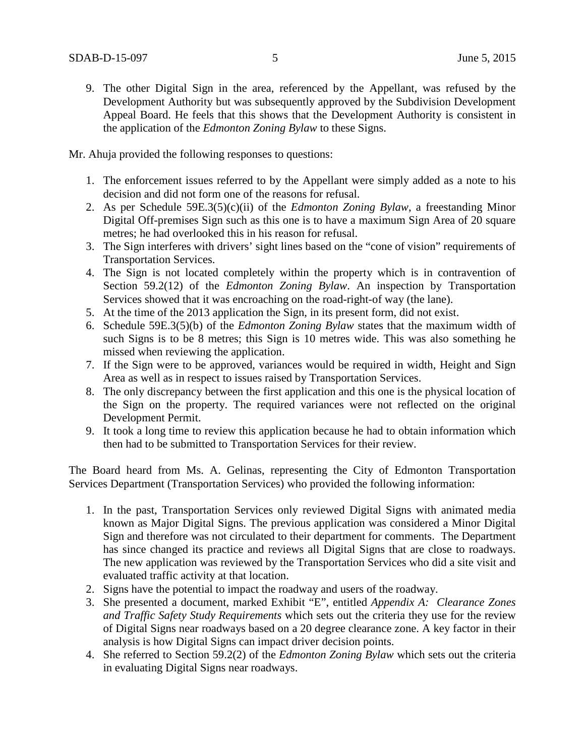9. The other Digital Sign in the area, referenced by the Appellant, was refused by the Development Authority but was subsequently approved by the Subdivision Development Appeal Board. He feels that this shows that the Development Authority is consistent in the application of the *Edmonton Zoning Bylaw* to these Signs.

Mr. Ahuja provided the following responses to questions:

- 1. The enforcement issues referred to by the Appellant were simply added as a note to his decision and did not form one of the reasons for refusal.
- 2. As per Schedule 59E.3(5)(c)(ii) of the *Edmonton Zoning Bylaw*, a freestanding Minor Digital Off-premises Sign such as this one is to have a maximum Sign Area of 20 square metres; he had overlooked this in his reason for refusal.
- 3. The Sign interferes with drivers' sight lines based on the "cone of vision" requirements of Transportation Services.
- 4. The Sign is not located completely within the property which is in contravention of Section 59.2(12) of the *Edmonton Zoning Bylaw*. An inspection by Transportation Services showed that it was encroaching on the road-right-of way (the lane).
- 5. At the time of the 2013 application the Sign, in its present form, did not exist.
- 6. Schedule 59E.3(5)(b) of the *Edmonton Zoning Bylaw* states that the maximum width of such Signs is to be 8 metres; this Sign is 10 metres wide. This was also something he missed when reviewing the application.
- 7. If the Sign were to be approved, variances would be required in width, Height and Sign Area as well as in respect to issues raised by Transportation Services.
- 8. The only discrepancy between the first application and this one is the physical location of the Sign on the property. The required variances were not reflected on the original Development Permit.
- 9. It took a long time to review this application because he had to obtain information which then had to be submitted to Transportation Services for their review.

The Board heard from Ms. A. Gelinas, representing the City of Edmonton Transportation Services Department (Transportation Services) who provided the following information:

- 1. In the past, Transportation Services only reviewed Digital Signs with animated media known as Major Digital Signs. The previous application was considered a Minor Digital Sign and therefore was not circulated to their department for comments. The Department has since changed its practice and reviews all Digital Signs that are close to roadways. The new application was reviewed by the Transportation Services who did a site visit and evaluated traffic activity at that location.
- 2. Signs have the potential to impact the roadway and users of the roadway.
- 3. She presented a document, marked Exhibit "E", entitled *Appendix A: Clearance Zones and Traffic Safety Study Requirements* which sets out the criteria they use for the review of Digital Signs near roadways based on a 20 degree clearance zone. A key factor in their analysis is how Digital Signs can impact driver decision points.
- 4. She referred to Section 59.2(2) of the *Edmonton Zoning Bylaw* which sets out the criteria in evaluating Digital Signs near roadways.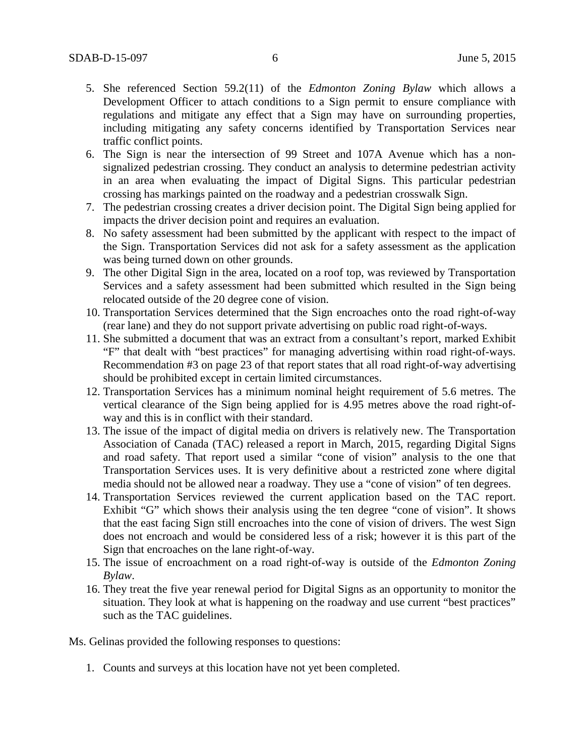- 5. She referenced Section 59.2(11) of the *Edmonton Zoning Bylaw* which allows a Development Officer to attach conditions to a Sign permit to ensure compliance with regulations and mitigate any effect that a Sign may have on surrounding properties, including mitigating any safety concerns identified by Transportation Services near traffic conflict points.
- 6. The Sign is near the intersection of 99 Street and 107A Avenue which has a nonsignalized pedestrian crossing. They conduct an analysis to determine pedestrian activity in an area when evaluating the impact of Digital Signs. This particular pedestrian crossing has markings painted on the roadway and a pedestrian crosswalk Sign.
- 7. The pedestrian crossing creates a driver decision point. The Digital Sign being applied for impacts the driver decision point and requires an evaluation.
- 8. No safety assessment had been submitted by the applicant with respect to the impact of the Sign. Transportation Services did not ask for a safety assessment as the application was being turned down on other grounds.
- 9. The other Digital Sign in the area, located on a roof top, was reviewed by Transportation Services and a safety assessment had been submitted which resulted in the Sign being relocated outside of the 20 degree cone of vision.
- 10. Transportation Services determined that the Sign encroaches onto the road right-of-way (rear lane) and they do not support private advertising on public road right-of-ways.
- 11. She submitted a document that was an extract from a consultant's report, marked Exhibit "F" that dealt with "best practices" for managing advertising within road right-of-ways. Recommendation #3 on page 23 of that report states that all road right-of-way advertising should be prohibited except in certain limited circumstances.
- 12. Transportation Services has a minimum nominal height requirement of 5.6 metres. The vertical clearance of the Sign being applied for is 4.95 metres above the road right-ofway and this is in conflict with their standard.
- 13. The issue of the impact of digital media on drivers is relatively new. The Transportation Association of Canada (TAC) released a report in March, 2015, regarding Digital Signs and road safety. That report used a similar "cone of vision" analysis to the one that Transportation Services uses. It is very definitive about a restricted zone where digital media should not be allowed near a roadway. They use a "cone of vision" of ten degrees.
- 14. Transportation Services reviewed the current application based on the TAC report. Exhibit "G" which shows their analysis using the ten degree "cone of vision". It shows that the east facing Sign still encroaches into the cone of vision of drivers. The west Sign does not encroach and would be considered less of a risk; however it is this part of the Sign that encroaches on the lane right-of-way.
- 15. The issue of encroachment on a road right-of-way is outside of the *Edmonton Zoning Bylaw*.
- 16. They treat the five year renewal period for Digital Signs as an opportunity to monitor the situation. They look at what is happening on the roadway and use current "best practices" such as the TAC guidelines.

Ms. Gelinas provided the following responses to questions:

1. Counts and surveys at this location have not yet been completed.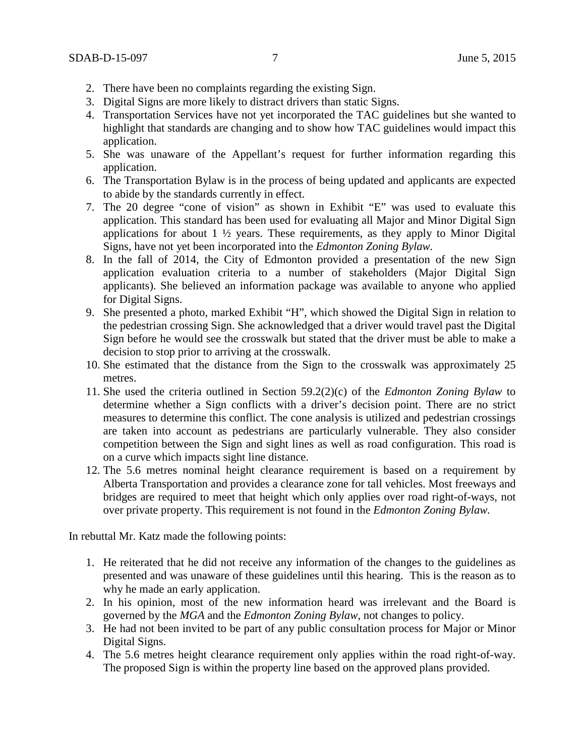- 2. There have been no complaints regarding the existing Sign.
- 3. Digital Signs are more likely to distract drivers than static Signs.
- 4. Transportation Services have not yet incorporated the TAC guidelines but she wanted to highlight that standards are changing and to show how TAC guidelines would impact this application.
- 5. She was unaware of the Appellant's request for further information regarding this application.
- 6. The Transportation Bylaw is in the process of being updated and applicants are expected to abide by the standards currently in effect.
- 7. The 20 degree "cone of vision" as shown in Exhibit "E" was used to evaluate this application. This standard has been used for evaluating all Major and Minor Digital Sign applications for about  $1 \frac{1}{2}$  years. These requirements, as they apply to Minor Digital Signs, have not yet been incorporated into the *Edmonton Zoning Bylaw.*
- 8. In the fall of 2014, the City of Edmonton provided a presentation of the new Sign application evaluation criteria to a number of stakeholders (Major Digital Sign applicants). She believed an information package was available to anyone who applied for Digital Signs.
- 9. She presented a photo, marked Exhibit "H", which showed the Digital Sign in relation to the pedestrian crossing Sign. She acknowledged that a driver would travel past the Digital Sign before he would see the crosswalk but stated that the driver must be able to make a decision to stop prior to arriving at the crosswalk.
- 10. She estimated that the distance from the Sign to the crosswalk was approximately 25 metres.
- 11. She used the criteria outlined in Section 59.2(2)(c) of the *Edmonton Zoning Bylaw* to determine whether a Sign conflicts with a driver's decision point. There are no strict measures to determine this conflict. The cone analysis is utilized and pedestrian crossings are taken into account as pedestrians are particularly vulnerable. They also consider competition between the Sign and sight lines as well as road configuration. This road is on a curve which impacts sight line distance.
- 12. The 5.6 metres nominal height clearance requirement is based on a requirement by Alberta Transportation and provides a clearance zone for tall vehicles. Most freeways and bridges are required to meet that height which only applies over road right-of-ways, not over private property. This requirement is not found in the *Edmonton Zoning Bylaw.*

In rebuttal Mr. Katz made the following points:

- 1. He reiterated that he did not receive any information of the changes to the guidelines as presented and was unaware of these guidelines until this hearing. This is the reason as to why he made an early application.
- 2. In his opinion, most of the new information heard was irrelevant and the Board is governed by the *MGA* and the *Edmonton Zoning Bylaw*, not changes to policy.
- 3. He had not been invited to be part of any public consultation process for Major or Minor Digital Signs.
- 4. The 5.6 metres height clearance requirement only applies within the road right-of-way. The proposed Sign is within the property line based on the approved plans provided.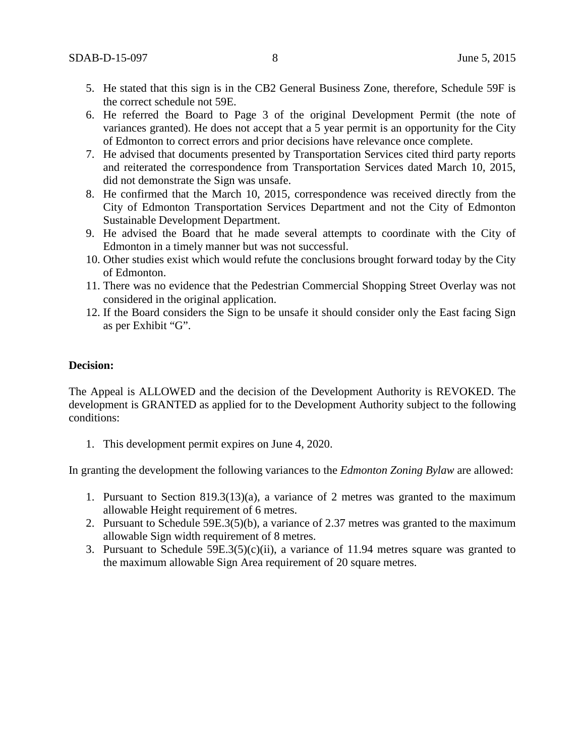- 5. He stated that this sign is in the CB2 General Business Zone, therefore, Schedule 59F is the correct schedule not 59E.
- 6. He referred the Board to Page 3 of the original Development Permit (the note of variances granted). He does not accept that a 5 year permit is an opportunity for the City of Edmonton to correct errors and prior decisions have relevance once complete.
- 7. He advised that documents presented by Transportation Services cited third party reports and reiterated the correspondence from Transportation Services dated March 10, 2015, did not demonstrate the Sign was unsafe.
- 8. He confirmed that the March 10, 2015, correspondence was received directly from the City of Edmonton Transportation Services Department and not the City of Edmonton Sustainable Development Department.
- 9. He advised the Board that he made several attempts to coordinate with the City of Edmonton in a timely manner but was not successful.
- 10. Other studies exist which would refute the conclusions brought forward today by the City of Edmonton.
- 11. There was no evidence that the Pedestrian Commercial Shopping Street Overlay was not considered in the original application.
- 12. If the Board considers the Sign to be unsafe it should consider only the East facing Sign as per Exhibit "G".

#### **Decision:**

The Appeal is ALLOWED and the decision of the Development Authority is REVOKED. The development is GRANTED as applied for to the Development Authority subject to the following conditions:

1. This development permit expires on June 4, 2020.

In granting the development the following variances to the *Edmonton Zoning Bylaw* are allowed:

- 1. Pursuant to Section 819.3(13)(a), a variance of 2 metres was granted to the maximum allowable Height requirement of 6 metres.
- 2. Pursuant to Schedule 59E.3(5)(b), a variance of 2.37 metres was granted to the maximum allowable Sign width requirement of 8 metres.
- 3. Pursuant to Schedule 59E.3(5)(c)(ii), a variance of 11.94 metres square was granted to the maximum allowable Sign Area requirement of 20 square metres.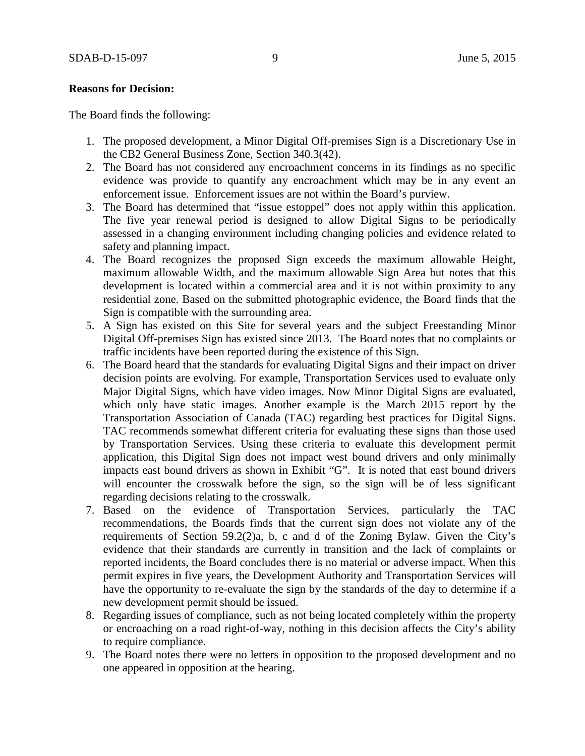#### **Reasons for Decision:**

The Board finds the following:

- 1. The proposed development, a Minor Digital Off-premises Sign is a Discretionary Use in the CB2 General Business Zone, Section 340.3(42).
- 2. The Board has not considered any encroachment concerns in its findings as no specific evidence was provide to quantify any encroachment which may be in any event an enforcement issue. Enforcement issues are not within the Board's purview.
- 3. The Board has determined that "issue estoppel" does not apply within this application. The five year renewal period is designed to allow Digital Signs to be periodically assessed in a changing environment including changing policies and evidence related to safety and planning impact.
- 4. The Board recognizes the proposed Sign exceeds the maximum allowable Height, maximum allowable Width, and the maximum allowable Sign Area but notes that this development is located within a commercial area and it is not within proximity to any residential zone. Based on the submitted photographic evidence, the Board finds that the Sign is compatible with the surrounding area.
- 5. A Sign has existed on this Site for several years and the subject Freestanding Minor Digital Off-premises Sign has existed since 2013. The Board notes that no complaints or traffic incidents have been reported during the existence of this Sign.
- 6. The Board heard that the standards for evaluating Digital Signs and their impact on driver decision points are evolving. For example, Transportation Services used to evaluate only Major Digital Signs, which have video images. Now Minor Digital Signs are evaluated, which only have static images. Another example is the March 2015 report by the Transportation Association of Canada (TAC) regarding best practices for Digital Signs. TAC recommends somewhat different criteria for evaluating these signs than those used by Transportation Services. Using these criteria to evaluate this development permit application, this Digital Sign does not impact west bound drivers and only minimally impacts east bound drivers as shown in Exhibit "G". It is noted that east bound drivers will encounter the crosswalk before the sign, so the sign will be of less significant regarding decisions relating to the crosswalk.
- 7. Based on the evidence of Transportation Services, particularly the TAC recommendations, the Boards finds that the current sign does not violate any of the requirements of Section 59.2(2)a, b, c and d of the Zoning Bylaw. Given the City's evidence that their standards are currently in transition and the lack of complaints or reported incidents, the Board concludes there is no material or adverse impact. When this permit expires in five years, the Development Authority and Transportation Services will have the opportunity to re-evaluate the sign by the standards of the day to determine if a new development permit should be issued.
- 8. Regarding issues of compliance, such as not being located completely within the property or encroaching on a road right-of-way, nothing in this decision affects the City's ability to require compliance.
- 9. The Board notes there were no letters in opposition to the proposed development and no one appeared in opposition at the hearing.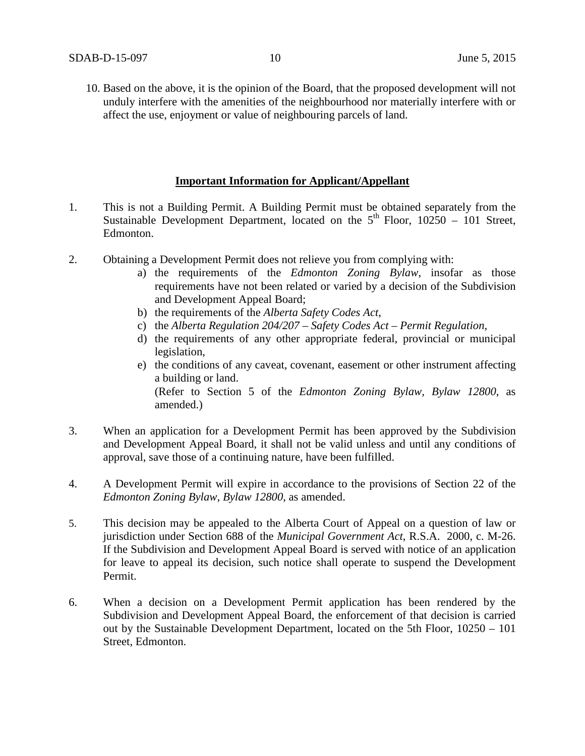10. Based on the above, it is the opinion of the Board, that the proposed development will not unduly interfere with the amenities of the neighbourhood nor materially interfere with or affect the use, enjoyment or value of neighbouring parcels of land.

#### **Important Information for Applicant/Appellant**

- 1. This is not a Building Permit. A Building Permit must be obtained separately from the Sustainable Development Department, located on the  $5<sup>th</sup>$  Floor, 10250 – 101 Street, Edmonton.
- 2. Obtaining a Development Permit does not relieve you from complying with:
	- a) the requirements of the *Edmonton Zoning Bylaw*, insofar as those requirements have not been related or varied by a decision of the Subdivision and Development Appeal Board;
	- b) the requirements of the *Alberta Safety Codes Act*,
	- c) the *Alberta Regulation 204/207 – Safety Codes Act – Permit Regulation*,
	- d) the requirements of any other appropriate federal, provincial or municipal legislation,
	- e) the conditions of any caveat, covenant, easement or other instrument affecting a building or land. (Refer to Section 5 of the *Edmonton Zoning Bylaw, Bylaw 12800*, as amended.)
- 3. When an application for a Development Permit has been approved by the Subdivision and Development Appeal Board, it shall not be valid unless and until any conditions of approval, save those of a continuing nature, have been fulfilled.
- 4. A Development Permit will expire in accordance to the provisions of Section 22 of the *Edmonton Zoning Bylaw, Bylaw 12800*, as amended.
- 5. This decision may be appealed to the Alberta Court of Appeal on a question of law or jurisdiction under Section 688 of the *Municipal Government Act*, R.S.A. 2000, c. M-26. If the Subdivision and Development Appeal Board is served with notice of an application for leave to appeal its decision, such notice shall operate to suspend the Development Permit.
- 6. When a decision on a Development Permit application has been rendered by the Subdivision and Development Appeal Board, the enforcement of that decision is carried out by the Sustainable Development Department, located on the 5th Floor, 10250 – 101 Street, Edmonton.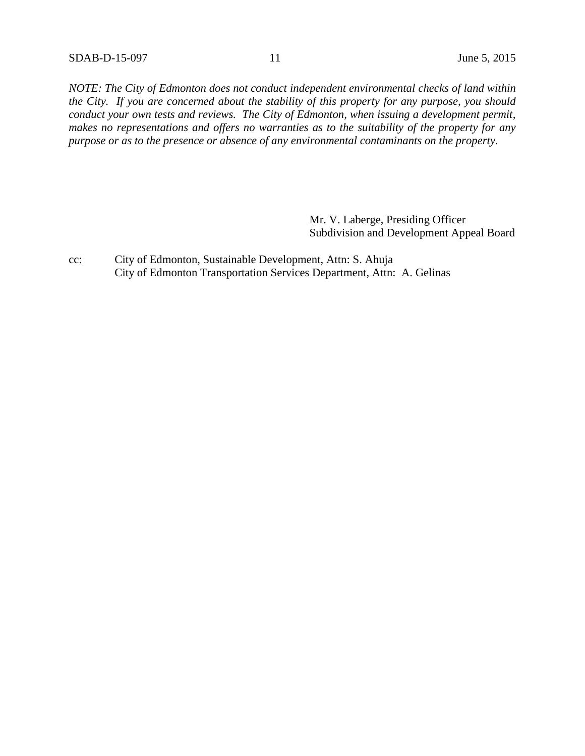*NOTE: The City of Edmonton does not conduct independent environmental checks of land within the City. If you are concerned about the stability of this property for any purpose, you should conduct your own tests and reviews. The City of Edmonton, when issuing a development permit, makes no representations and offers no warranties as to the suitability of the property for any purpose or as to the presence or absence of any environmental contaminants on the property.*

> Mr. V. Laberge, Presiding Officer Subdivision and Development Appeal Board

cc: City of Edmonton, Sustainable Development, Attn: S. Ahuja City of Edmonton Transportation Services Department, Attn: A. Gelinas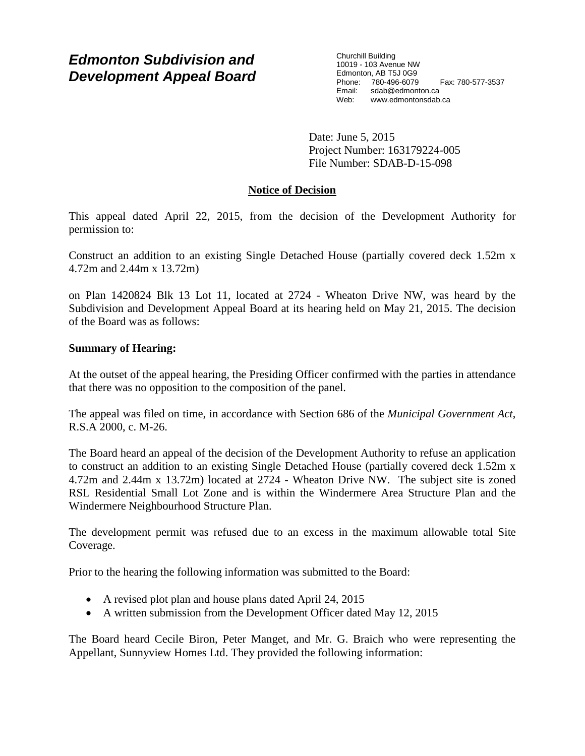# *Edmonton Subdivision and Development Appeal Board*

Churchill Building 10019 - 103 Avenue NW Edmonton, AB T5J 0G9 Phone: 780-496-6079 Fax: 780-577-3537 Email: sdab@edmonton.ca Web: www.edmontonsdab.ca

Date: June 5, 2015 Project Number: 163179224-005 File Number: SDAB-D-15-098

## **Notice of Decision**

This appeal dated April 22, 2015, from the decision of the Development Authority for permission to:

Construct an addition to an existing Single Detached House (partially covered deck 1.52m x 4.72m and 2.44m x 13.72m)

on Plan 1420824 Blk 13 Lot 11, located at 2724 - Wheaton Drive NW, was heard by the Subdivision and Development Appeal Board at its hearing held on May 21, 2015. The decision of the Board was as follows:

## **Summary of Hearing:**

At the outset of the appeal hearing, the Presiding Officer confirmed with the parties in attendance that there was no opposition to the composition of the panel.

The appeal was filed on time, in accordance with Section 686 of the *Municipal Government Act*, R.S.A 2000, c. M-26.

The Board heard an appeal of the decision of the Development Authority to refuse an application to construct an addition to an existing Single Detached House (partially covered deck 1.52m x 4.72m and 2.44m x 13.72m) located at 2724 - Wheaton Drive NW. The subject site is zoned RSL Residential Small Lot Zone and is within the Windermere Area Structure Plan and the Windermere Neighbourhood Structure Plan.

The development permit was refused due to an excess in the maximum allowable total Site Coverage.

Prior to the hearing the following information was submitted to the Board:

- A revised plot plan and house plans dated April 24, 2015
- A written submission from the Development Officer dated May 12, 2015

The Board heard Cecile Biron, Peter Manget, and Mr. G. Braich who were representing the Appellant, Sunnyview Homes Ltd. They provided the following information: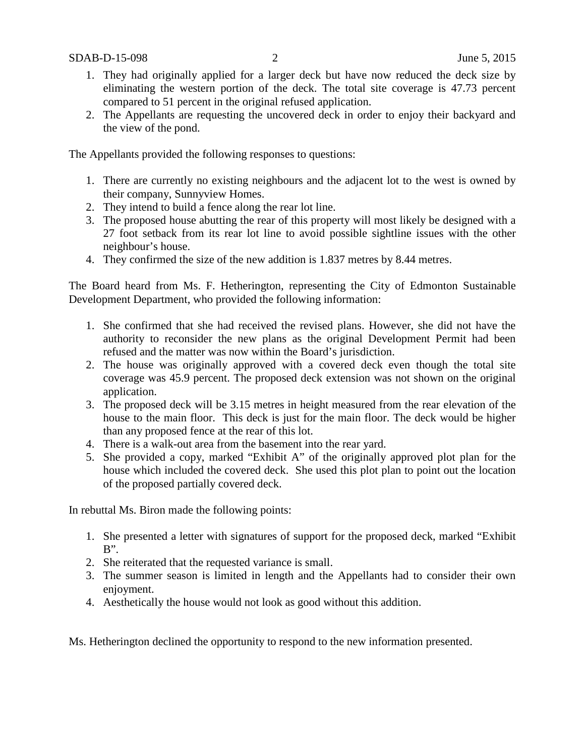- 1. They had originally applied for a larger deck but have now reduced the deck size by eliminating the western portion of the deck. The total site coverage is 47.73 percent compared to 51 percent in the original refused application.
- 2. The Appellants are requesting the uncovered deck in order to enjoy their backyard and the view of the pond.

The Appellants provided the following responses to questions:

- 1. There are currently no existing neighbours and the adjacent lot to the west is owned by their company, Sunnyview Homes.
- 2. They intend to build a fence along the rear lot line.
- 3. The proposed house abutting the rear of this property will most likely be designed with a 27 foot setback from its rear lot line to avoid possible sightline issues with the other neighbour's house.
- 4. They confirmed the size of the new addition is 1.837 metres by 8.44 metres.

The Board heard from Ms. F. Hetherington, representing the City of Edmonton Sustainable Development Department, who provided the following information:

- 1. She confirmed that she had received the revised plans. However, she did not have the authority to reconsider the new plans as the original Development Permit had been refused and the matter was now within the Board's jurisdiction.
- 2. The house was originally approved with a covered deck even though the total site coverage was 45.9 percent. The proposed deck extension was not shown on the original application.
- 3. The proposed deck will be 3.15 metres in height measured from the rear elevation of the house to the main floor. This deck is just for the main floor. The deck would be higher than any proposed fence at the rear of this lot.
- 4. There is a walk-out area from the basement into the rear yard.
- 5. She provided a copy, marked "Exhibit A" of the originally approved plot plan for the house which included the covered deck. She used this plot plan to point out the location of the proposed partially covered deck.

In rebuttal Ms. Biron made the following points:

- 1. She presented a letter with signatures of support for the proposed deck, marked "Exhibit  $B$ ".
- 2. She reiterated that the requested variance is small.
- 3. The summer season is limited in length and the Appellants had to consider their own enjoyment.
- 4. Aesthetically the house would not look as good without this addition.

Ms. Hetherington declined the opportunity to respond to the new information presented.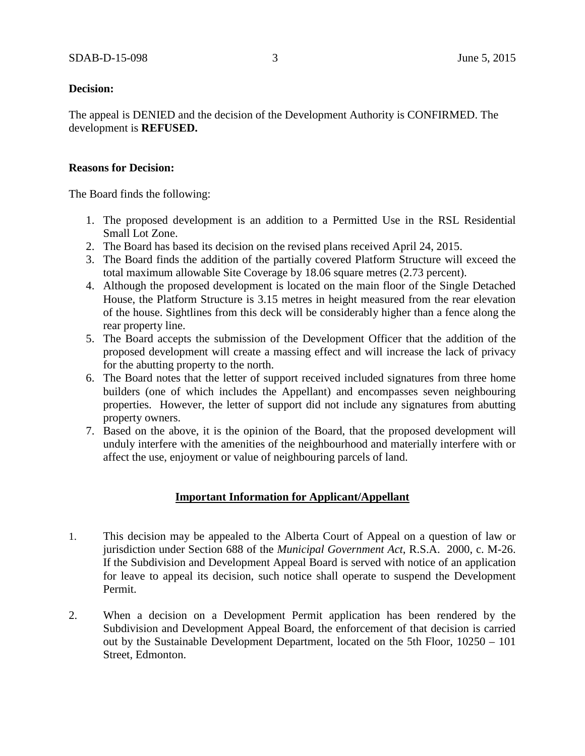#### **Decision:**

The appeal is DENIED and the decision of the Development Authority is CONFIRMED. The development is **REFUSED.**

### **Reasons for Decision:**

The Board finds the following:

- 1. The proposed development is an addition to a Permitted Use in the RSL Residential Small Lot Zone.
- 2. The Board has based its decision on the revised plans received April 24, 2015.
- 3. The Board finds the addition of the partially covered Platform Structure will exceed the total maximum allowable Site Coverage by 18.06 square metres (2.73 percent).
- 4. Although the proposed development is located on the main floor of the Single Detached House, the Platform Structure is 3.15 metres in height measured from the rear elevation of the house. Sightlines from this deck will be considerably higher than a fence along the rear property line.
- 5. The Board accepts the submission of the Development Officer that the addition of the proposed development will create a massing effect and will increase the lack of privacy for the abutting property to the north.
- 6. The Board notes that the letter of support received included signatures from three home builders (one of which includes the Appellant) and encompasses seven neighbouring properties. However, the letter of support did not include any signatures from abutting property owners.
- 7. Based on the above, it is the opinion of the Board, that the proposed development will unduly interfere with the amenities of the neighbourhood and materially interfere with or affect the use, enjoyment or value of neighbouring parcels of land.

### **Important Information for Applicant/Appellant**

- 1. This decision may be appealed to the Alberta Court of Appeal on a question of law or jurisdiction under Section 688 of the *Municipal Government Act*, R.S.A. 2000, c. M-26. If the Subdivision and Development Appeal Board is served with notice of an application for leave to appeal its decision, such notice shall operate to suspend the Development Permit.
- 2. When a decision on a Development Permit application has been rendered by the Subdivision and Development Appeal Board, the enforcement of that decision is carried out by the Sustainable Development Department, located on the 5th Floor, 10250 – 101 Street, Edmonton.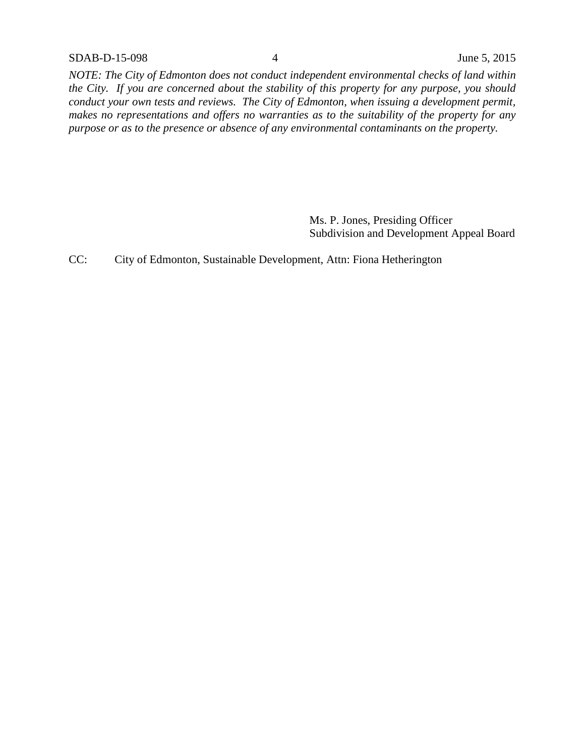SDAB-D-15-098 4 June 5, 2015

*NOTE: The City of Edmonton does not conduct independent environmental checks of land within the City. If you are concerned about the stability of this property for any purpose, you should conduct your own tests and reviews. The City of Edmonton, when issuing a development permit, makes no representations and offers no warranties as to the suitability of the property for any purpose or as to the presence or absence of any environmental contaminants on the property.*

> Ms. P. Jones, Presiding Officer Subdivision and Development Appeal Board

CC: City of Edmonton, Sustainable Development, Attn: Fiona Hetherington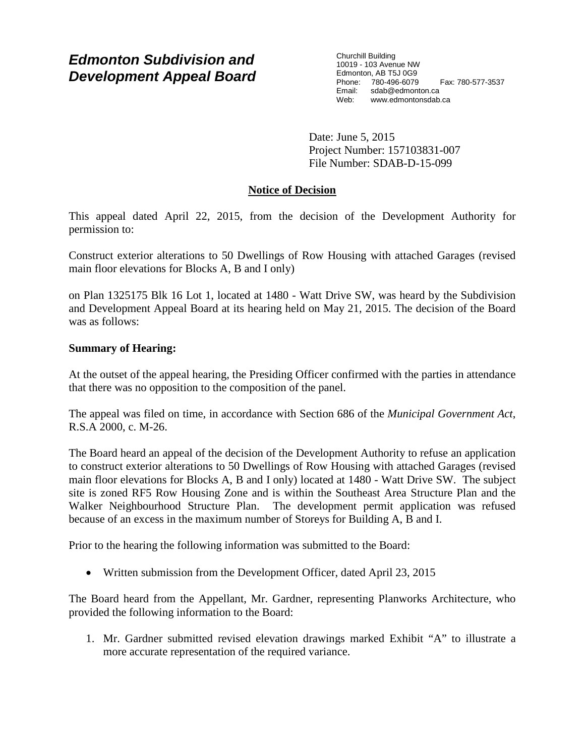# *Edmonton Subdivision and Development Appeal Board*

Churchill Building 10019 - 103 Avenue NW Edmonton, AB T5J 0G9 Phone: 780-496-6079 Fax: 780-577-3537 Email: sdab@edmonton.ca<br>Web: www.edmontonsdab www.edmontonsdab.ca

Date: June 5, 2015 Project Number: 157103831-007 File Number: SDAB-D-15-099

## **Notice of Decision**

This appeal dated April 22, 2015, from the decision of the Development Authority for permission to:

Construct exterior alterations to 50 Dwellings of Row Housing with attached Garages (revised main floor elevations for Blocks A, B and I only)

on Plan 1325175 Blk 16 Lot 1, located at 1480 - Watt Drive SW, was heard by the Subdivision and Development Appeal Board at its hearing held on May 21, 2015. The decision of the Board was as follows:

## **Summary of Hearing:**

At the outset of the appeal hearing, the Presiding Officer confirmed with the parties in attendance that there was no opposition to the composition of the panel.

The appeal was filed on time, in accordance with Section 686 of the *Municipal Government Act*, R.S.A 2000, c. M-26.

The Board heard an appeal of the decision of the Development Authority to refuse an application to construct exterior alterations to 50 Dwellings of Row Housing with attached Garages (revised main floor elevations for Blocks A, B and I only) located at 1480 - Watt Drive SW. The subject site is zoned RF5 Row Housing Zone and is within the Southeast Area Structure Plan and the Walker Neighbourhood Structure Plan. The development permit application was refused because of an excess in the maximum number of Storeys for Building A, B and I.

Prior to the hearing the following information was submitted to the Board:

• Written submission from the Development Officer, dated April 23, 2015

The Board heard from the Appellant, Mr. Gardner, representing Planworks Architecture, who provided the following information to the Board:

1. Mr. Gardner submitted revised elevation drawings marked Exhibit "A" to illustrate a more accurate representation of the required variance.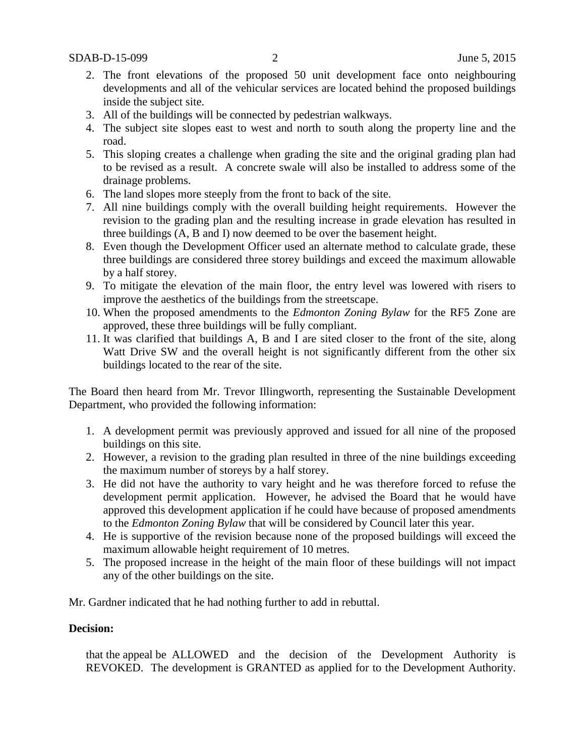- 2. The front elevations of the proposed 50 unit development face onto neighbouring developments and all of the vehicular services are located behind the proposed buildings inside the subject site.
- 3. All of the buildings will be connected by pedestrian walkways.
- 4. The subject site slopes east to west and north to south along the property line and the road.
- 5. This sloping creates a challenge when grading the site and the original grading plan had to be revised as a result. A concrete swale will also be installed to address some of the drainage problems.
- 6. The land slopes more steeply from the front to back of the site.
- 7. All nine buildings comply with the overall building height requirements. However the revision to the grading plan and the resulting increase in grade elevation has resulted in three buildings (A, B and I) now deemed to be over the basement height.
- 8. Even though the Development Officer used an alternate method to calculate grade, these three buildings are considered three storey buildings and exceed the maximum allowable by a half storey.
- 9. To mitigate the elevation of the main floor, the entry level was lowered with risers to improve the aesthetics of the buildings from the streetscape.
- 10. When the proposed amendments to the *Edmonton Zoning Bylaw* for the RF5 Zone are approved, these three buildings will be fully compliant.
- 11. It was clarified that buildings A, B and I are sited closer to the front of the site, along Watt Drive SW and the overall height is not significantly different from the other six buildings located to the rear of the site.

The Board then heard from Mr. Trevor Illingworth, representing the Sustainable Development Department, who provided the following information:

- 1. A development permit was previously approved and issued for all nine of the proposed buildings on this site.
- 2. However, a revision to the grading plan resulted in three of the nine buildings exceeding the maximum number of storeys by a half storey.
- 3. He did not have the authority to vary height and he was therefore forced to refuse the development permit application. However, he advised the Board that he would have approved this development application if he could have because of proposed amendments to the *Edmonton Zoning Bylaw* that will be considered by Council later this year.
- 4. He is supportive of the revision because none of the proposed buildings will exceed the maximum allowable height requirement of 10 metres.
- 5. The proposed increase in the height of the main floor of these buildings will not impact any of the other buildings on the site.

Mr. Gardner indicated that he had nothing further to add in rebuttal.

### **Decision:**

that the appeal be ALLOWED and the decision of the Development Authority is REVOKED. The development is GRANTED as applied for to the Development Authority.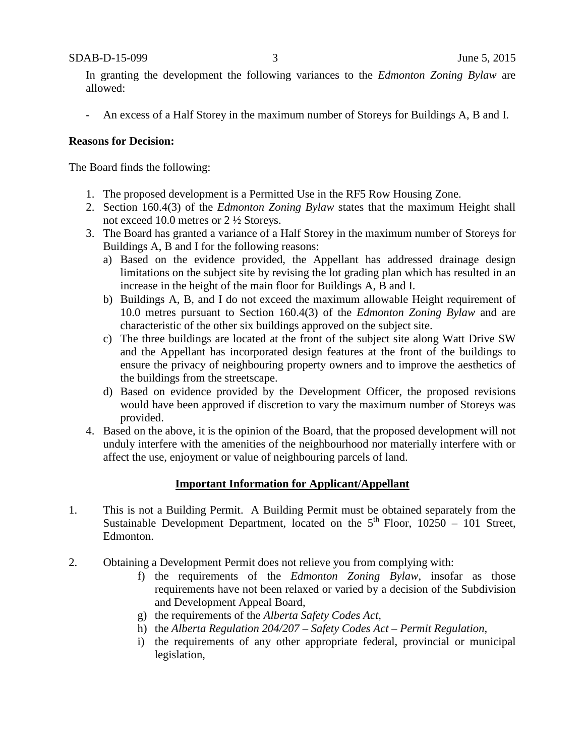In granting the development the following variances to the *Edmonton Zoning Bylaw* are allowed:

- An excess of a Half Storey in the maximum number of Storeys for Buildings A, B and I.

#### **Reasons for Decision:**

The Board finds the following:

- 1. The proposed development is a Permitted Use in the RF5 Row Housing Zone.
- 2. Section 160.4(3) of the *Edmonton Zoning Bylaw* states that the maximum Height shall not exceed 10.0 metres or 2 ½ Storeys.
- 3. The Board has granted a variance of a Half Storey in the maximum number of Storeys for Buildings A, B and I for the following reasons:
	- a) Based on the evidence provided, the Appellant has addressed drainage design limitations on the subject site by revising the lot grading plan which has resulted in an increase in the height of the main floor for Buildings A, B and I.
	- b) Buildings A, B, and I do not exceed the maximum allowable Height requirement of 10.0 metres pursuant to Section 160.4(3) of the *Edmonton Zoning Bylaw* and are characteristic of the other six buildings approved on the subject site.
	- c) The three buildings are located at the front of the subject site along Watt Drive SW and the Appellant has incorporated design features at the front of the buildings to ensure the privacy of neighbouring property owners and to improve the aesthetics of the buildings from the streetscape.
	- d) Based on evidence provided by the Development Officer, the proposed revisions would have been approved if discretion to vary the maximum number of Storeys was provided.
- 4. Based on the above, it is the opinion of the Board, that the proposed development will not unduly interfere with the amenities of the neighbourhood nor materially interfere with or affect the use, enjoyment or value of neighbouring parcels of land.

#### **Important Information for Applicant/Appellant**

- 1. This is not a Building Permit. A Building Permit must be obtained separately from the Sustainable Development Department, located on the  $5<sup>th</sup>$  Floor, 10250 – 101 Street, Edmonton.
- 2. Obtaining a Development Permit does not relieve you from complying with:
	- f) the requirements of the *Edmonton Zoning Bylaw*, insofar as those requirements have not been relaxed or varied by a decision of the Subdivision and Development Appeal Board,
	- g) the requirements of the *Alberta Safety Codes Act*,
	- h) the *Alberta Regulation 204/207 – Safety Codes Act – Permit Regulation*,
	- i) the requirements of any other appropriate federal, provincial or municipal legislation,